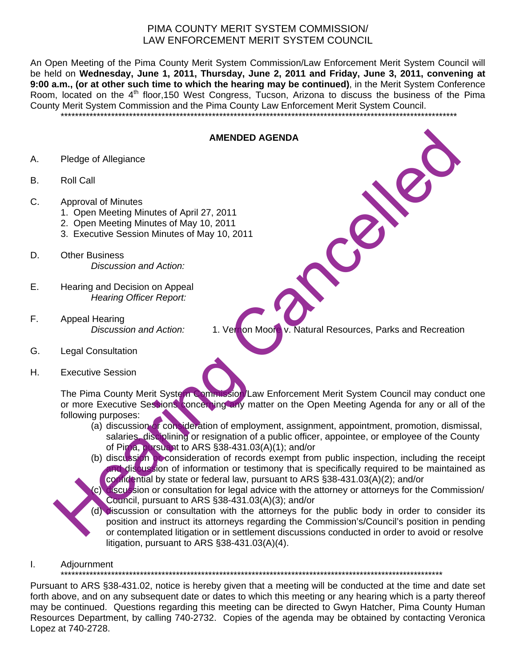## PIMA COUNTY MERIT SYSTEM COMMISSION/ LAW ENFORCEMENT MERIT SYSTEM COUNCIL

An Open Meeting of the Pima County Merit System Commission/Law Enforcement Merit System Council will be held on **Wednesday, June 1, 2011, Thursday, June 2, 2011 and Friday, June 3, 2011, convening at 9:00 a.m., (or at other such time to which the hearing may be continued)**, in the Merit System Conference Room, located on the 4<sup>th</sup> floor,150 West Congress, Tucson, Arizona to discuss the business of the Pima County Merit System Commission and the Pima County Law Enforcement Merit System Council.

\*\*\*\*\*\*\*\*\*\*\*\*\*\*\*\*\*\*\*\*\*\*\*\*\*\*\*\*\*\*\*\*\*\*\*\*\*\*\*\*\*\*\*\*\*\*\*\*\*\*\*\*\*\*\*\*\*\*\*\*\*\*\*\*\*\*\*\*\*\*\*\*\*\*\*\*\*\*\*\*\*\*\*\*\*\*\*\*\*\*\*\*\*\*\*\*\*\*\*\*\*\*\*\*\*\*\*\*\*\*

## **AMENDED AGENDA**

- A. Pledge of Allegiance
- B. Roll Call
- C. Approval of Minutes
	- 1. Open Meeting Minutes of April 27, 2011
	- 2. Open Meeting Minutes of May 10, 2011
	- 3. Executive Session Minutes of May 10, 2011
- D. Other Business *Discussion and Action:*
- E. Hearing and Decision on Appeal *Hearing Officer Report:*
- F. Appeal Hearing

*Discussion and Action:* 1. Vernon Moore v. Natural Resources, Parks and Recreation

- G. Legal Consultation
- H. Executive Session

The Pima County Merit System Commission/Law Enforcement Merit System Council may conduct one or more Executive Sessions concerning any matter on the Open Meeting Agenda for any or all of the following purposes: MENDED AGENDA<br>
Nell Call<br>
Nell Call<br>
2. Open Meeting Minutes of April 27, 2011<br>
2. Chem Meeting Minutes of April 27, 2011<br>
2. Chem Meeting Minutes of May 10, 2011<br>
2. Chem Meeting Minutes of May 10, 2011<br>
2. Chem Meeting M

- (a) discussion or consideration of employment, assignment, appointment, promotion, dismissal, salaries, disciplining or resignation of a public officer, appointee, or employee of the County of Pima, pursuant to ARS §38-431.03(A)(1); and/or
- (b) discussion or consideration of records exempt from public inspection, including the receipt and discussion of information or testimony that is specifically required to be maintained as confidential by state or federal law, pursuant to ARS §38-431.03(A)(2); and/or
- (c) discussion or consultation for legal advice with the attorney or attorneys for the Commission/ Council, pursuant to ARS §38-431.03(A)(3); and/or
- (d) discussion or consultation with the attorneys for the public body in order to consider its position and instruct its attorneys regarding the Commission's/Council's position in pending or contemplated litigation or in settlement discussions conducted in order to avoid or resolve litigation, pursuant to ARS §38-431.03(A)(4).
- I. Adjournment

\*\*\*\*\*\*\*\*\*\*\*\*\*\*\*\*\*\*\*\*\*\*\*\*\*\*\*\*\*\*\*\*\*\*\*\*\*\*\*\*\*\*\*\*\*\*\*\*\*\*\*\*\*\*\*\*\*\*\*\*\*\*\*\*\*\*\*\*\*\*\*\*\*\*\*\*\*\*\*\*\*\*\*\*\*\*\*\*\*\*\*\*\*\*\*\*\*\*\*\*\*\*\*\*\*\*

Pursuant to ARS §38-431.02, notice is hereby given that a meeting will be conducted at the time and date set forth above, and on any subsequent date or dates to which this meeting or any hearing which is a party thereof may be continued. Questions regarding this meeting can be directed to Gwyn Hatcher, Pima County Human Resources Department, by calling 740-2732. Copies of the agenda may be obtained by contacting Veronica Lopez at 740-2728.